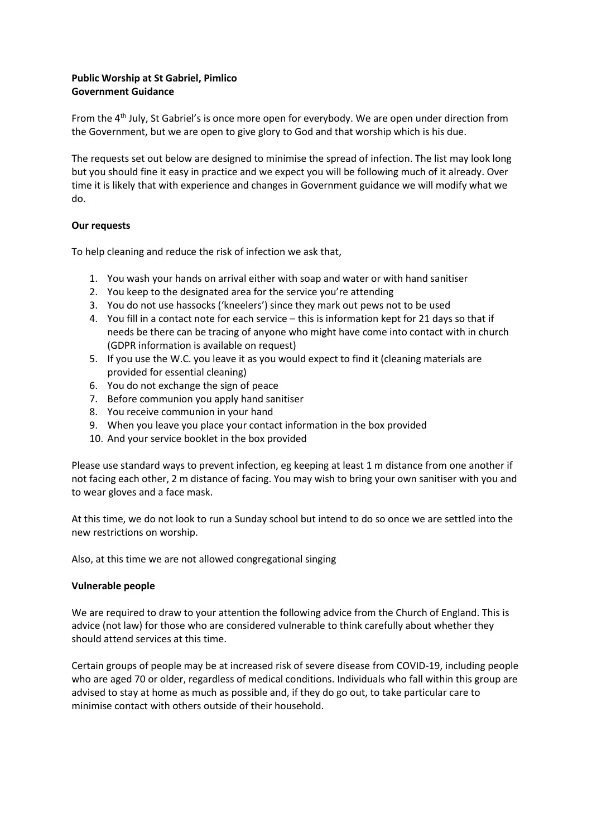## **Public Worship at St Gabriel, Pimlico Government Guidance**

From the 4th July, St Gabriel's is once more open for everybody. We are open under direction from the Government, but we are open to give glory to God and that worship which is his due.

The requests set out below are designed to minimise the spread of infection. The list may look long but you should fine it easy in practice and we expect you will be following much of it already. Over time it is likely that with experience and changes in Government guidance we will modify what we do.

## **Our requests**

To help cleaning and reduce the risk of infection we ask that,

- 1. You wash your hands on arrival either with soap and water or with hand sanitiser
- 2. You keep to the designated area for the service you're attending
- 3. You do not use hassocks ('kneelers') since they mark out pews not to be used
- 4. You fill in a contact note for each service this is information kept for 21 days so that if needs be there can be tracing of anyone who might have come into contact with in church (GDPR information is available on request)
- 5. If you use the W.C. you leave it as you would expect to find it (cleaning materials are provided for essential cleaning)
- 6. You do not exchange the sign of peace
- 7. Before communion you apply hand sanitiser
- 8. You receive communion in your hand
- 9. When you leave you place your contact information in the box provided
- 10. And your service booklet in the box provided

Please use standard ways to prevent infection, eg keeping at least 1 m distance from one another if not facing each other, 2 m distance of facing. You may wish to bring your own sanitiser with you and to wear gloves and a face mask.

At this time, we do not look to run a Sunday school but intend to do so once we are settled into the new restrictions on worship.

Also, at this time we are not allowed congregational singing

## **Vulnerable people**

We are required to draw to your attention the following advice from the Church of England. This is advice (not law) for those who are considered vulnerable to think carefully about whether they should attend services at this time.

Certain groups of people may be at increased risk of severe disease from COVID-19, including people who are aged 70 or older, regardless of medical conditions. Individuals who fall within this group are advised to stay at home as much as possible and, if they do go out, to take particular care to minimise contact with others outside of their household.